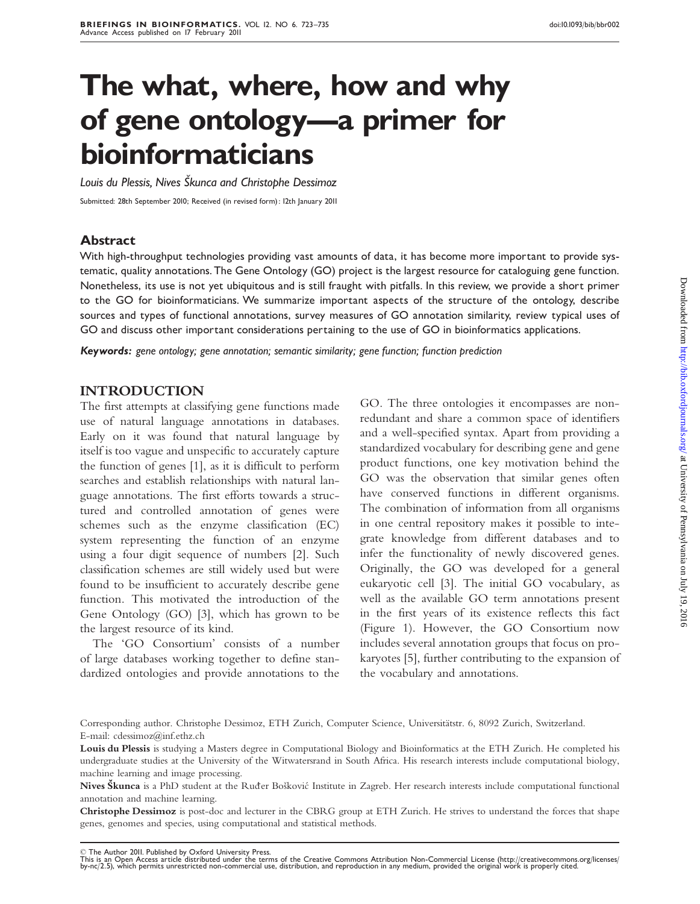# The what, where, how and why of gene ontology-a primer for bioinformaticians

Louis du Plessis, Nives Škunca and Christophe Dessimoz

Submitted: 28th September 2010; Received (in revised form): 12th January 2011

## Abstract

With high-throughput technologies providing vast amounts of data, it has become more important to provide systematic, quality annotations. The Gene Ontology (GO) project is the largest resource for cataloguing gene function. Nonetheless, its use is not yet ubiquitous and is still fraught with pitfalls. In this review, we provide a short primer to the GO for bioinformaticians. We summarize important aspects of the structure of the ontology, describe sources and types of functional annotations, survey measures of GO annotation similarity, review typical uses of GO and discuss other important considerations pertaining to the use of GO in bioinformatics applications.

Keywords: gene ontology; gene annotation; semantic similarity; gene function; function prediction

#### INTRODUCTION

The first attempts at classifying gene functions made use of natural language annotations in databases. Early on it was found that natural language by itself is too vague and unspecific to accurately capture the function of genes [1], as it is difficult to perform searches and establish relationships with natural language annotations. The first efforts towards a structured and controlled annotation of genes were schemes such as the enzyme classification (EC) system representing the function of an enzyme using a four digit sequence of numbers [2]. Such classification schemes are still widely used but were found to be insufficient to accurately describe gene function. This motivated the introduction of the Gene Ontology (GO) [3], which has grown to be the largest resource of its kind.

The 'GO Consortium' consists of a number of large databases working together to define standardized ontologies and provide annotations to the

GO. The three ontologies it encompasses are nonredundant and share a common space of identifiers and a well-specified syntax. Apart from providing a standardized vocabulary for describing gene and gene product functions, one key motivation behind the GO was the observation that similar genes often have conserved functions in different organisms. The combination of information from all organisms in one central repository makes it possible to integrate knowledge from different databases and to infer the functionality of newly discovered genes. Originally, the GO was developed for a general eukaryotic cell [3]. The initial GO vocabulary, as well as the available GO term annotations present in the first years of its existence reflects this fact (Figure 1). However, the GO Consortium now includes several annotation groups that focus on prokaryotes [5], further contributing to the expansion of the vocabulary and annotations.

Corresponding author. Christophe Dessimoz, ETH Zurich, Computer Science, Universitätstr. 6, 8092 Zurich, Switzerland. E-mail: cdessimoz@inf.ethz.ch

Christophe Dessimoz is post-doc and lecturer in the CBRG group at ETH Zurich. He strives to understand the forces that shape genes, genomes and species, using computational and statistical methods.

Louis du Plessis is studying a Masters degree in Computational Biology and Bioinformatics at the ETH Zurich. He completed his undergraduate studies at the University of the Witwatersrand in South Africa. His research interests include computational biology, machine learning and image processing.

Nives Škunca is a PhD student at the Ruđer Bošković Institute in Zagreb. Her research interests include computational functional annotation and machine learning.

<sup>©</sup> The Author 2011. Published by Oxford University Press.<br>This is an Open Access article distributed under the terms of the Creative Commons Attribution Non-Commercial License (http://creativecommons.org/licenses/<br>by-nc/2.5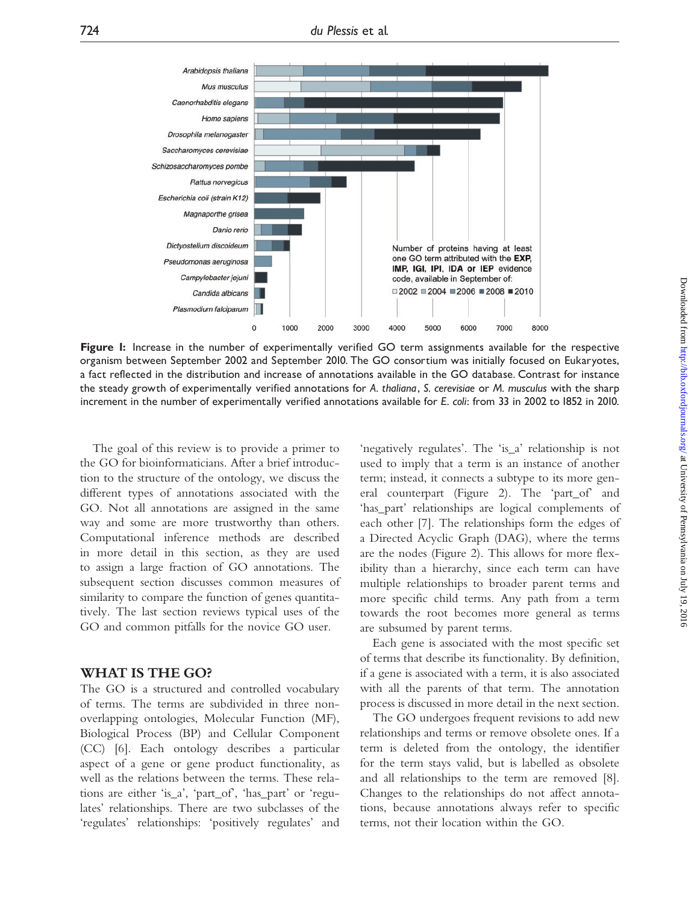

Figure 1: Increase in the number of experimentally verified GO term assignments available for the respective organism between September 2002 and September 2010. The GO consortium was initially focused on Eukaryotes, a fact reflected in the distribution and increase of annotations available in the GO database. Contrast for instance the steady growth of experimentally verified annotations for A. thaliana, S. cerevisiae or M. musculus with the sharp increment in the number of experimentally verified annotations available for E. coli: from 33 in 2002 to 1852 in 2010.

The goal of this review is to provide a primer to the GO for bioinformaticians. After a brief introduction to the structure of the ontology, we discuss the different types of annotations associated with the GO. Not all annotations are assigned in the same way and some are more trustworthy than others. Computational inference methods are described in more detail in this section, as they are used to assign a large fraction of GO annotations. The subsequent section discusses common measures of similarity to compare the function of genes quantitatively. The last section reviews typical uses of the GO and common pitfalls for the novice GO user.

## WHAT IS THE GO?

The GO is a structured and controlled vocabulary of terms. The terms are subdivided in three nonoverlapping ontologies, Molecular Function (MF), Biological Process (BP) and Cellular Component (CC) [6]. Each ontology describes a particular aspect of a gene or gene product functionality, as well as the relations between the terms. These relations are either 'is\_a', 'part\_of', 'has\_part' or 'regulates' relationships. There are two subclasses of the 'regulates' relationships: 'positively regulates' and

'negatively regulates'. The 'is\_a' relationship is not used to imply that a term is an instance of another term; instead, it connects a subtype to its more general counterpart (Figure 2). The 'part\_of' and 'has\_part' relationships are logical complements of each other [7]. The relationships form the edges of a Directed Acyclic Graph (DAG), where the terms are the nodes (Figure 2). This allows for more flexibility than a hierarchy, since each term can have multiple relationships to broader parent terms and more specific child terms. Any path from a term towards the root becomes more general as terms are subsumed by parent terms.

Each gene is associated with the most specific set of terms that describe its functionality. By definition, if a gene is associated with a term, it is also associated with all the parents of that term. The annotation process is discussed in more detail in the next section.

The GO undergoes frequent revisions to add new relationships and terms or remove obsolete ones. If a term is deleted from the ontology, the identifier for the term stays valid, but is labelled as obsolete and all relationships to the term are removed [8]. Changes to the relationships do not affect annotations, because annotations always refer to specific terms, not their location within the GO.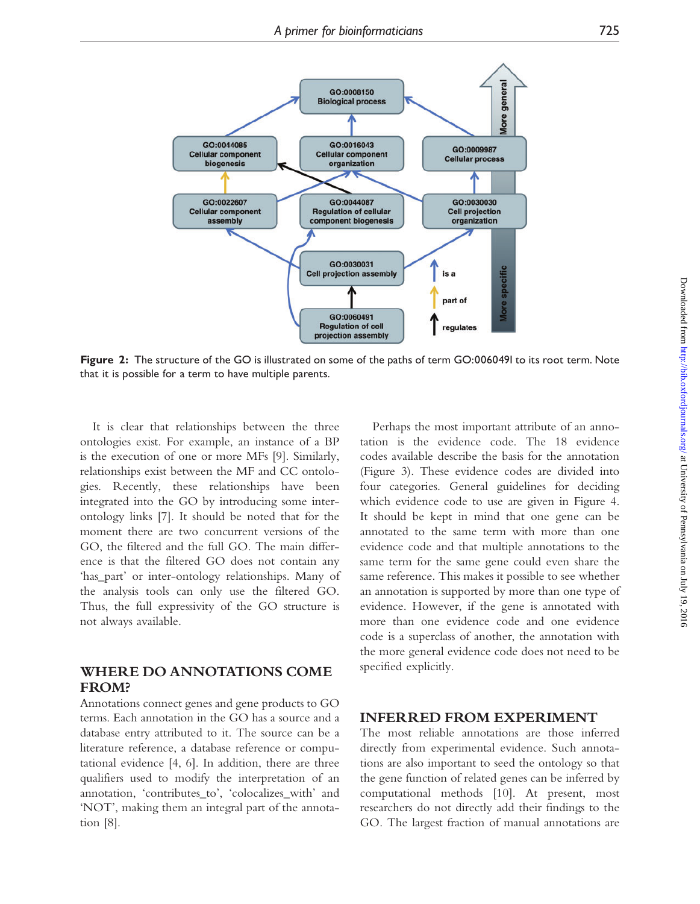

Figure 2: The structure of the GO is illustrated on some of the paths of term GO:006049I to its root term. Note that it is possible for a term to have multiple parents.

It is clear that relationships between the three ontologies exist. For example, an instance of a BP is the execution of one or more MFs [9]. Similarly, relationships exist between the MF and CC ontologies. Recently, these relationships have been integrated into the GO by introducing some interontology links [7]. It should be noted that for the moment there are two concurrent versions of the GO, the filtered and the full GO. The main difference is that the filtered GO does not contain any 'has\_part' or inter-ontology relationships. Many of the analysis tools can only use the filtered GO. Thus, the full expressivity of the GO structure is not always available.

## WHERE DO ANNOTATIONS COME FROM?

Annotations connect genes and gene products to GO terms. Each annotation in the GO has a source and a database entry attributed to it. The source can be a literature reference, a database reference or computational evidence [4, 6]. In addition, there are three qualifiers used to modify the interpretation of an annotation, 'contributes\_to', 'colocalizes\_with' and 'NOT', making them an integral part of the annotation [8].

Perhaps the most important attribute of an annotation is the evidence code. The 18 evidence codes available describe the basis for the annotation (Figure 3). These evidence codes are divided into four categories. General guidelines for deciding which evidence code to use are given in Figure 4. It should be kept in mind that one gene can be annotated to the same term with more than one evidence code and that multiple annotations to the same term for the same gene could even share the same reference. This makes it possible to see whether an annotation is supported by more than one type of evidence. However, if the gene is annotated with more than one evidence code and one evidence code is a superclass of another, the annotation with the more general evidence code does not need to be specified explicitly.

## INFERRED FROM EXPERIMENT

The most reliable annotations are those inferred directly from experimental evidence. Such annotations are also important to seed the ontology so that the gene function of related genes can be inferred by computational methods [10]. At present, most researchers do not directly add their findings to the GO. The largest fraction of manual annotations are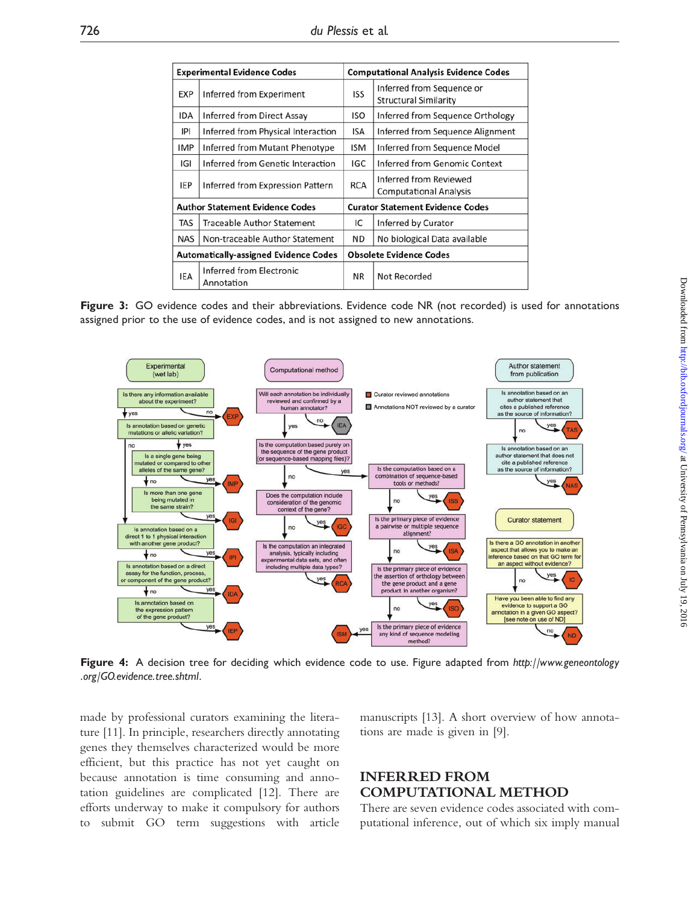| <b>Experimental Evidence Codes</b>           |                                        | <b>Computational Analysis Evidence Codes</b> |                                                           |
|----------------------------------------------|----------------------------------------|----------------------------------------------|-----------------------------------------------------------|
| <b>EXP</b>                                   | Inferred from Experiment               | <b>ISS</b>                                   | Inferred from Sequence or<br><b>Structural Similarity</b> |
| <b>IDA</b>                                   | Inferred from Direct Assay             | <b>ISO</b>                                   | Inferred from Sequence Orthology                          |
| IPI                                          | Inferred from Physical Interaction     | <b>ISA</b>                                   | Inferred from Sequence Alignment                          |
| IMP                                          | Inferred from Mutant Phenotype         | <b>ISM</b>                                   | Inferred from Sequence Model                              |
| IGI                                          | Inferred from Genetic Interaction      | IGC                                          | <b>Inferred from Genomic Context</b>                      |
| IEP                                          | Inferred from Expression Pattern       | <b>RCA</b>                                   | Inferred from Reviewed<br><b>Computational Analysis</b>   |
| <b>Author Statement Evidence Codes</b>       |                                        | <b>Curator Statement Evidence Codes</b>      |                                                           |
| <b>TAS</b>                                   | <b>Traceable Author Statement</b>      | IC                                           | Inferred by Curator                                       |
| <b>NAS</b>                                   | Non-traceable Author Statement         | ND                                           | No biological Data available                              |
| <b>Automatically-assigned Evidence Codes</b> |                                        | <b>Obsolete Evidence Codes</b>               |                                                           |
| <b>IEA</b>                                   | Inferred from Electronic<br>Annotation | <b>NR</b>                                    | Not Recorded                                              |

Figure 3: GO evidence codes and their abbreviations. Evidence code NR (not recorded) is used for annotations assigned prior to the use of evidence codes, and is not assigned to new annotations.



Figure 4: A decision tree for deciding which evidence code to use. Figure adapted from http://www.geneontology .org/GO.evidence.tree.shtml.

made by professional curators examining the literature [11]. In principle, researchers directly annotating genes they themselves characterized would be more efficient, but this practice has not yet caught on because annotation is time consuming and annotation guidelines are complicated [12]. There are efforts underway to make it compulsory for authors to submit GO term suggestions with article manuscripts [13]. A short overview of how annotations are made is given in [9].

# INFERRED FROM COMPUTATIONAL METHOD

There are seven evidence codes associated with computational inference, out of which six imply manual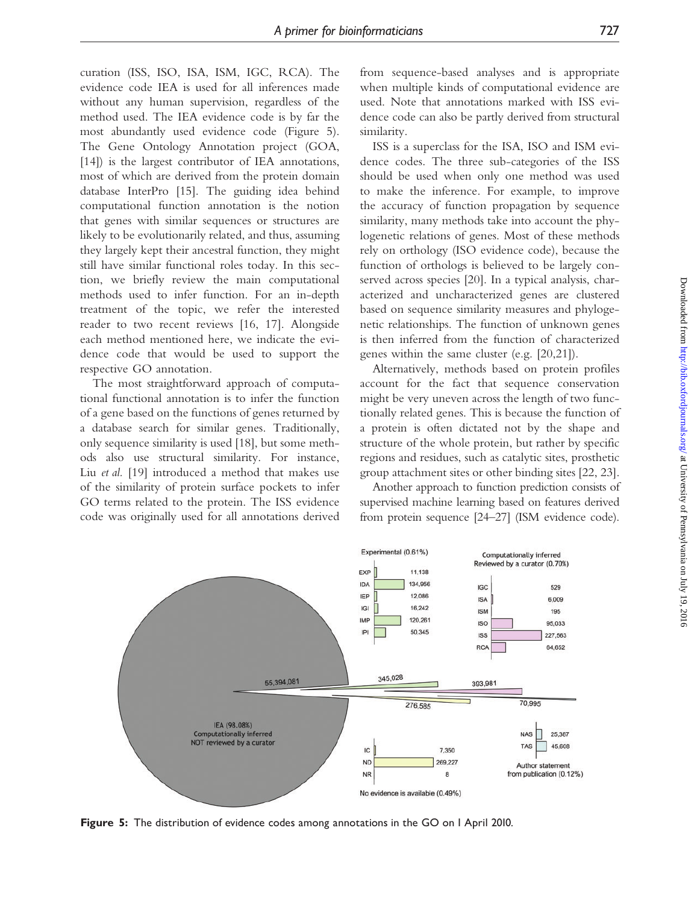curation (ISS, ISO, ISA, ISM, IGC, RCA). The evidence code IEA is used for all inferences made without any human supervision, regardless of the method used. The IEA evidence code is by far the most abundantly used evidence code (Figure 5). The Gene Ontology Annotation project (GOA, [14]) is the largest contributor of IEA annotations, most of which are derived from the protein domain database InterPro [15]. The guiding idea behind computational function annotation is the notion that genes with similar sequences or structures are likely to be evolutionarily related, and thus, assuming they largely kept their ancestral function, they might still have similar functional roles today. In this section, we briefly review the main computational methods used to infer function. For an in-depth treatment of the topic, we refer the interested reader to two recent reviews [16, 17]. Alongside each method mentioned here, we indicate the evidence code that would be used to support the respective GO annotation.

The most straightforward approach of computational functional annotation is to infer the function of a gene based on the functions of genes returned by a database search for similar genes. Traditionally, only sequence similarity is used [18], but some methods also use structural similarity. For instance, Liu et al. [19] introduced a method that makes use of the similarity of protein surface pockets to infer GO terms related to the protein. The ISS evidence code was originally used for all annotations derived

from sequence-based analyses and is appropriate when multiple kinds of computational evidence are used. Note that annotations marked with ISS evidence code can also be partly derived from structural similarity.

ISS is a superclass for the ISA, ISO and ISM evidence codes. The three sub-categories of the ISS should be used when only one method was used to make the inference. For example, to improve the accuracy of function propagation by sequence similarity, many methods take into account the phylogenetic relations of genes. Most of these methods rely on orthology (ISO evidence code), because the function of orthologs is believed to be largely conserved across species [20]. In a typical analysis, characterized and uncharacterized genes are clustered based on sequence similarity measures and phylogenetic relationships. The function of unknown genes is then inferred from the function of characterized genes within the same cluster (e.g. [20,21]).

Alternatively, methods based on protein profiles account for the fact that sequence conservation might be very uneven across the length of two functionally related genes. This is because the function of a protein is often dictated not by the shape and structure of the whole protein, but rather by specific regions and residues, such as catalytic sites, prosthetic group attachment sites or other binding sites [22, 23].

Another approach to function prediction consists of supervised machine learning based on features derived from protein sequence [24–27] (ISM evidence code).



Figure 5: The distribution of evidence codes among annotations in the GO on 1 April 2010.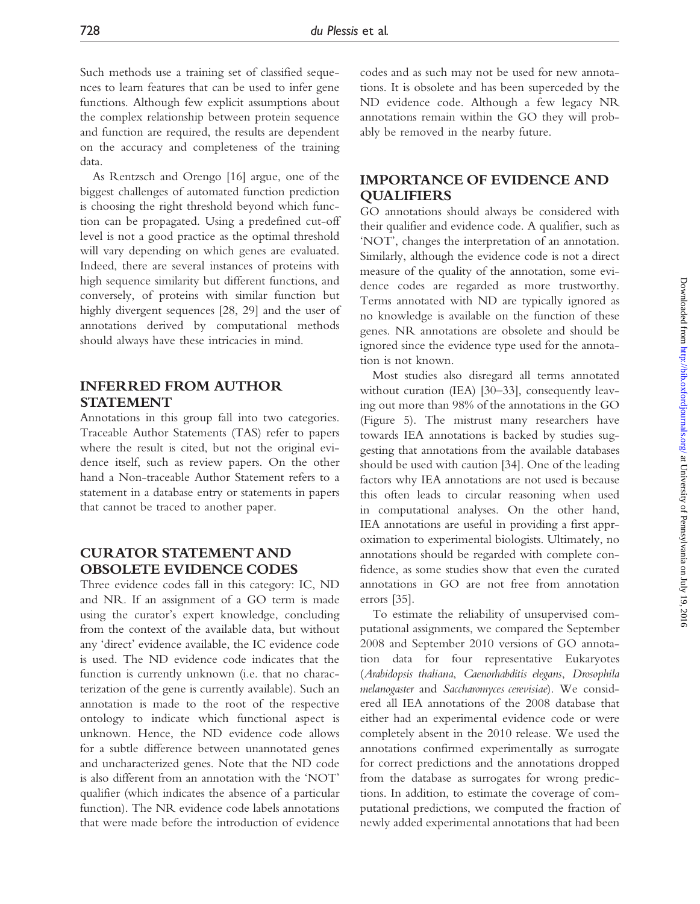Such methods use a training set of classified sequences to learn features that can be used to infer gene functions. Although few explicit assumptions about the complex relationship between protein sequence and function are required, the results are dependent on the accuracy and completeness of the training data.

As Rentzsch and Orengo [16] argue, one of the biggest challenges of automated function prediction is choosing the right threshold beyond which function can be propagated. Using a predefined cut-off level is not a good practice as the optimal threshold will vary depending on which genes are evaluated. Indeed, there are several instances of proteins with high sequence similarity but different functions, and conversely, of proteins with similar function but highly divergent sequences [28, 29] and the user of annotations derived by computational methods should always have these intricacies in mind.

# INFERRED FROM AUTHOR STATEMENT

Annotations in this group fall into two categories. Traceable Author Statements (TAS) refer to papers where the result is cited, but not the original evidence itself, such as review papers. On the other hand a Non-traceable Author Statement refers to a statement in a database entry or statements in papers that cannot be traced to another paper.

## CURATOR STATEMENTAND OBSOLETE EVIDENCE CODES

Three evidence codes fall in this category: IC, ND and NR. If an assignment of a GO term is made using the curator's expert knowledge, concluding from the context of the available data, but without any 'direct' evidence available, the IC evidence code is used. The ND evidence code indicates that the function is currently unknown (i.e. that no characterization of the gene is currently available). Such an annotation is made to the root of the respective ontology to indicate which functional aspect is unknown. Hence, the ND evidence code allows for a subtle difference between unannotated genes and uncharacterized genes. Note that the ND code is also different from an annotation with the 'NOT' qualifier (which indicates the absence of a particular function). The NR evidence code labels annotations that were made before the introduction of evidence codes and as such may not be used for new annotations. It is obsolete and has been superceded by the ND evidence code. Although a few legacy NR annotations remain within the GO they will probably be removed in the nearby future.

# IMPORTANCE OF EVIDENCE AND **OUALIFIERS**

GO annotations should always be considered with their qualifier and evidence code. A qualifier, such as 'NOT', changes the interpretation of an annotation. Similarly, although the evidence code is not a direct measure of the quality of the annotation, some evidence codes are regarded as more trustworthy. Terms annotated with ND are typically ignored as no knowledge is available on the function of these genes. NR annotations are obsolete and should be ignored since the evidence type used for the annotation is not known.

Most studies also disregard all terms annotated without curation (IEA) [30–33], consequently leaving out more than 98% of the annotations in the GO (Figure 5). The mistrust many researchers have towards IEA annotations is backed by studies suggesting that annotations from the available databases should be used with caution [34]. One of the leading factors why IEA annotations are not used is because this often leads to circular reasoning when used in computational analyses. On the other hand, IEA annotations are useful in providing a first approximation to experimental biologists. Ultimately, no annotations should be regarded with complete confidence, as some studies show that even the curated annotations in GO are not free from annotation errors [35].

To estimate the reliability of unsupervised computational assignments, we compared the September 2008 and September 2010 versions of GO annotation data for four representative Eukaryotes (Arabidopsis thaliana, Caenorhabditis elegans, Drosophila melanogaster and Saccharomyces cerevisiae). We considered all IEA annotations of the 2008 database that either had an experimental evidence code or were completely absent in the 2010 release. We used the annotations confirmed experimentally as surrogate for correct predictions and the annotations dropped from the database as surrogates for wrong predictions. In addition, to estimate the coverage of computational predictions, we computed the fraction of newly added experimental annotations that had been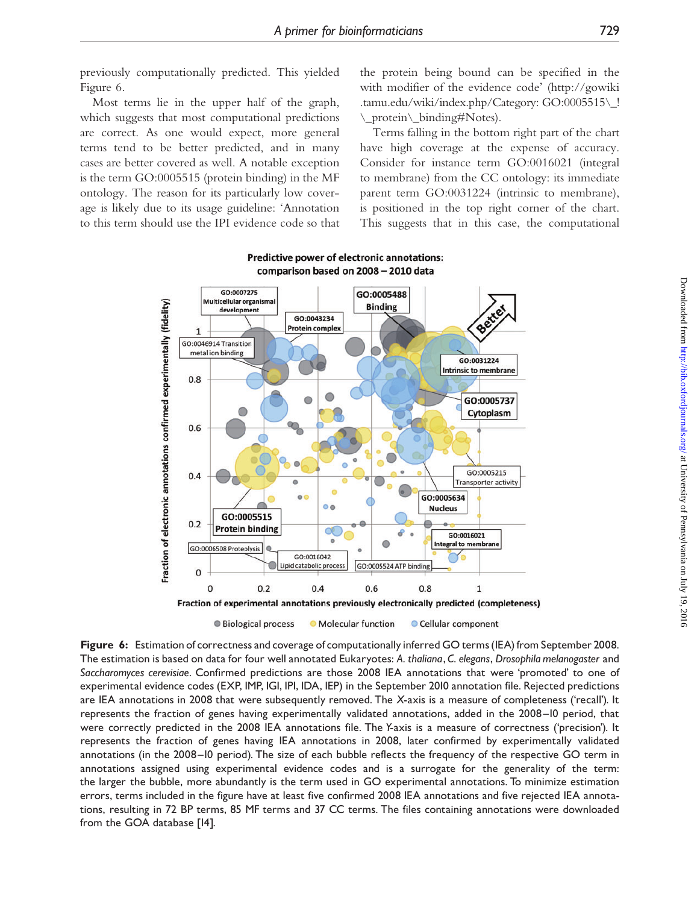previously computationally predicted. This yielded Figure 6.

Most terms lie in the upper half of the graph, which suggests that most computational predictions are correct. As one would expect, more general terms tend to be better predicted, and in many cases are better covered as well. A notable exception is the term GO:0005515 (protein binding) in the MF ontology. The reason for its particularly low coverage is likely due to its usage guideline: 'Annotation to this term should use the IPI evidence code so that the protein being bound can be specified in the with modifier of the evidence code' (http://gowiki .tamu.edu/wiki/index.php/Category: GO:0005515\\_! \\_protein\\_binding#Notes).

Terms falling in the bottom right part of the chart have high coverage at the expense of accuracy. Consider for instance term GO:0016021 (integral to membrane) from the CC ontology: its immediate parent term GO:0031224 (intrinsic to membrane), is positioned in the top right corner of the chart. This suggests that in this case, the computational



#### Predictive power of electronic annotations: comparison based on 2008 - 2010 data

**Biological process** • Molecular function ● Cellular component

Figure 6: Estimation of correctness and coverage of computationally inferred GO terms (IEA) from September 2008. The estimation is based on data for four well annotated Eukaryotes: A. thaliana,C. elegans, Drosophila melanogaster and Saccharomyces cerevisiae. Confirmed predictions are those 2008 IEA annotations that were 'promoted' to one of experimental evidence codes (EXP, IMP, IGI, IPI, IDA, IEP) in the September 2010 annotation file. Rejected predictions are IEA annotations in 2008 that were subsequently removed. The X-axis is a measure of completeness ('recall'). It represents the fraction of genes having experimentally validated annotations, added in the 2008–10 period, that were correctly predicted in the 2008 IEA annotations file. The Y-axis is a measure of correctness ('precision'). It represents the fraction of genes having IEA annotations in 2008, later confirmed by experimentally validated annotations (in the 2008-I0 period). The size of each bubble reflects the frequency of the respective GO term in annotations assigned using experimental evidence codes and is a surrogate for the generality of the term: the larger the bubble, more abundantly is the term used in GO experimental annotations. To minimize estimation errors, terms included in the figure have at least five confirmed 2008 IEA annotations and five rejected IEA annotations, resulting in 72 BP terms, 85 MF terms and 37 CC terms. The files containing annotations were downloaded from the GOA database [14].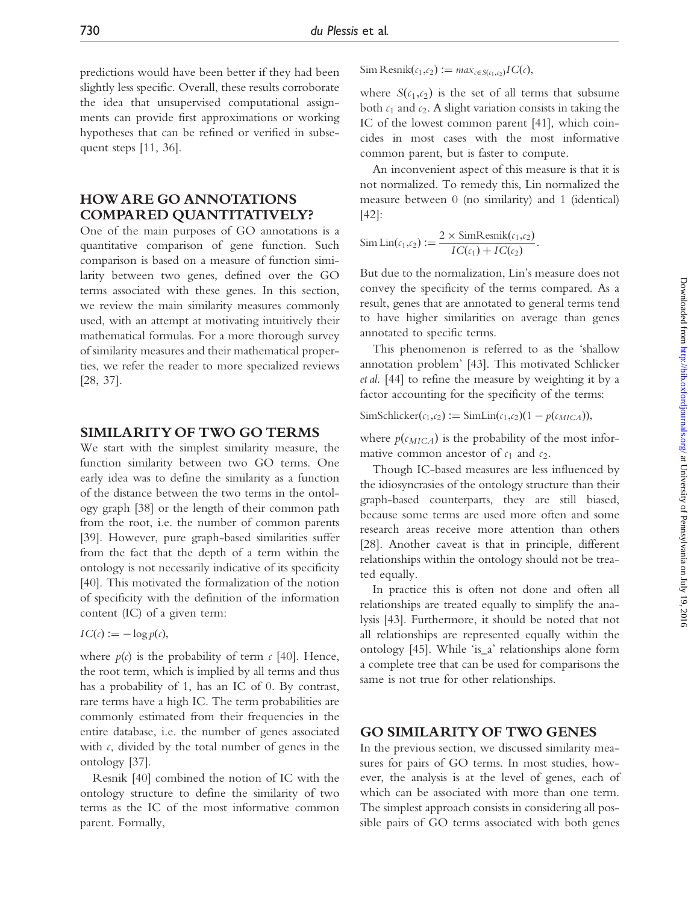predictions would have been better if they had been slightly less specific. Overall, these results corroborate the idea that unsupervised computational assignments can provide first approximations or working hypotheses that can be refined or verified in subsequent steps [11, 36].

# HOWARE GO ANNOTATIONS COMPARED QUANTITATIVELY?

One of the main purposes of GO annotations is a quantitative comparison of gene function. Such comparison is based on a measure of function similarity between two genes, defined over the GO terms associated with these genes. In this section, we review the main similarity measures commonly used, with an attempt at motivating intuitively their mathematical formulas. For a more thorough survey of similarity measures and their mathematical properties, we refer the reader to more specialized reviews [28, 37].

## SIMILARITY OF TWO GO TERMS

We start with the simplest similarity measure, the function similarity between two GO terms. One early idea was to define the similarity as a function of the distance between the two terms in the ontology graph [38] or the length of their common path from the root, i.e. the number of common parents [39]. However, pure graph-based similarities suffer from the fact that the depth of a term within the ontology is not necessarily indicative of its specificity [40]. This motivated the formalization of the notion of specificity with the definition of the information content (IC) of a given term:

$$
IC(\mathfrak{c}) := -\log p(\mathfrak{c}),
$$

where  $p(c)$  is the probability of term  $c$  [40]. Hence, the root term, which is implied by all terms and thus has a probability of 1, has an IC of 0. By contrast, rare terms have a high IC. The term probabilities are commonly estimated from their frequencies in the entire database, i.e. the number of genes associated with  $c$ , divided by the total number of genes in the ontology [37].

Resnik [40] combined the notion of IC with the ontology structure to define the similarity of two terms as the IC of the most informative common parent. Formally,

 $\text{Sim Resnik}(c_1,c_2) := \max_{c \in S(c_1,c_2)} IC(c),$ 

where  $S(c_1,c_2)$  is the set of all terms that subsume both  $c_1$  and  $c_2$ . A slight variation consists in taking the IC of the lowest common parent [41], which coincides in most cases with the most informative common parent, but is faster to compute.

An inconvenient aspect of this measure is that it is not normalized. To remedy this, Lin normalized the measure between 0 (no similarity) and 1 (identical) [42]:

$$
\operatorname{SimLin}(c_1,c_2) := \frac{2 \times \operatorname{SimResnik}(c_1,c_2)}{IC(c_1) + IC(c_2)}.
$$

But due to the normalization, Lin's measure does not convey the specificity of the terms compared. As a result, genes that are annotated to general terms tend to have higher similarities on average than genes annotated to specific terms.

This phenomenon is referred to as the 'shallow annotation problem' [43]. This motivated Schlicker et al. [44] to refine the measure by weighting it by a factor accounting for the specificity of the terms:

 $\text{SimSchlicker}(\epsilon_1,\epsilon_2) := \text{SimLin}(\epsilon_1,\epsilon_2)(1 - p(\epsilon_{MICA})),$ 

where  $p(c_{MICA})$  is the probability of the most informative common ancestor of  $c_1$  and  $c_2$ .

Though IC-based measures are less influenced by the idiosyncrasies of the ontology structure than their graph-based counterparts, they are still biased, because some terms are used more often and some research areas receive more attention than others [28]. Another caveat is that in principle, different relationships within the ontology should not be treated equally.

In practice this is often not done and often all relationships are treated equally to simplify the analysis [43]. Furthermore, it should be noted that not all relationships are represented equally within the ontology [45]. While 'is\_a' relationships alone form a complete tree that can be used for comparisons the same is not true for other relationships.

## GO SIMILARITY OF TWO GENES

In the previous section, we discussed similarity measures for pairs of GO terms. In most studies, however, the analysis is at the level of genes, each of which can be associated with more than one term. The simplest approach consists in considering all possible pairs of GO terms associated with both genes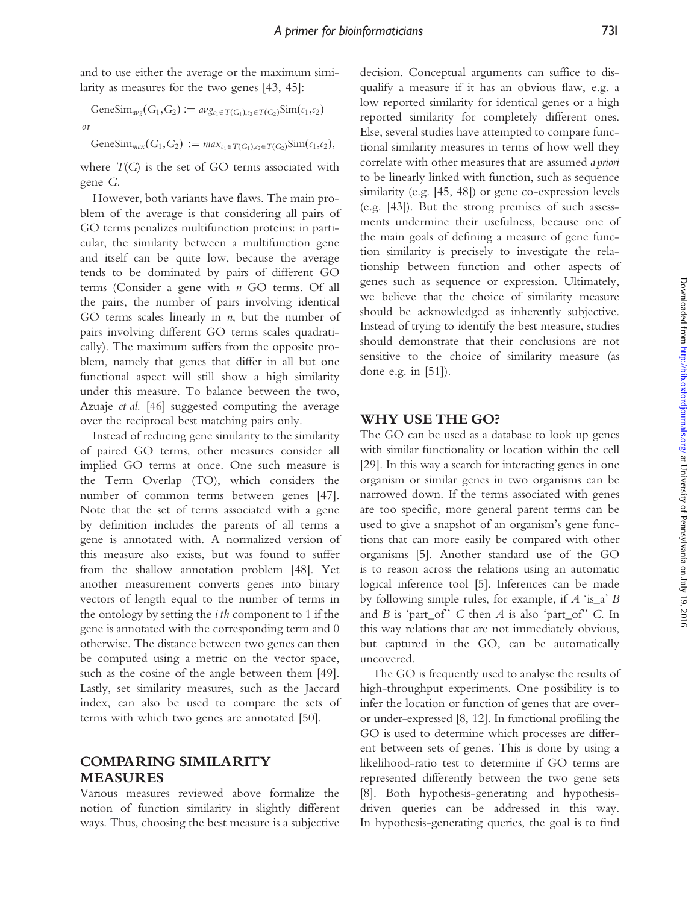and to use either the average or the maximum similarity as measures for the two genes [43, 45]:

$$
\text{GeneSim}_{\text{avg}}(G_1, G_2) := \text{avg}_{c_1 \in T(G_1), c_2 \in T(G_2)} \text{Sim}(c_1, c_2)
$$
\nor

$$
\text{GeneSim}_{\text{max}}(G_1, G_2) := \text{max}_{c_1 \in T(G_1), c_2 \in T(G_2)} \text{Sim}(c_1, c_2),
$$

where  $T(G)$  is the set of GO terms associated with gene G.

However, both variants have flaws. The main problem of the average is that considering all pairs of GO terms penalizes multifunction proteins: in particular, the similarity between a multifunction gene and itself can be quite low, because the average tends to be dominated by pairs of different GO terms (Consider a gene with  $n$  GO terms. Of all the pairs, the number of pairs involving identical GO terms scales linearly in  $n$ , but the number of pairs involving different GO terms scales quadratically). The maximum suffers from the opposite problem, namely that genes that differ in all but one functional aspect will still show a high similarity under this measure. To balance between the two, Azuaje et al. [46] suggested computing the average over the reciprocal best matching pairs only.

Instead of reducing gene similarity to the similarity of paired GO terms, other measures consider all implied GO terms at once. One such measure is the Term Overlap (TO), which considers the number of common terms between genes [47]. Note that the set of terms associated with a gene by definition includes the parents of all terms a gene is annotated with. A normalized version of this measure also exists, but was found to suffer from the shallow annotation problem [48]. Yet another measurement converts genes into binary vectors of length equal to the number of terms in the ontology by setting the  $i$  th component to 1 if the gene is annotated with the corresponding term and 0 otherwise. The distance between two genes can then be computed using a metric on the vector space, such as the cosine of the angle between them [49]. Lastly, set similarity measures, such as the Jaccard index, can also be used to compare the sets of terms with which two genes are annotated [50].

# COMPARING SIMILARITY MEASURES

Various measures reviewed above formalize the notion of function similarity in slightly different ways. Thus, choosing the best measure is a subjective decision. Conceptual arguments can suffice to disqualify a measure if it has an obvious flaw, e.g. a low reported similarity for identical genes or a high reported similarity for completely different ones. Else, several studies have attempted to compare functional similarity measures in terms of how well they correlate with other measures that are assumed apriori to be linearly linked with function, such as sequence similarity (e.g. [45, 48]) or gene co-expression levels (e.g. [43]). But the strong premises of such assessments undermine their usefulness, because one of the main goals of defining a measure of gene function similarity is precisely to investigate the relationship between function and other aspects of genes such as sequence or expression. Ultimately, we believe that the choice of similarity measure should be acknowledged as inherently subjective. Instead of trying to identify the best measure, studies should demonstrate that their conclusions are not sensitive to the choice of similarity measure (as done e.g. in [51]).

## WHY USE THE GO?

The GO can be used as a database to look up genes with similar functionality or location within the cell [29]. In this way a search for interacting genes in one organism or similar genes in two organisms can be narrowed down. If the terms associated with genes are too specific, more general parent terms can be used to give a snapshot of an organism's gene functions that can more easily be compared with other organisms [5]. Another standard use of the GO is to reason across the relations using an automatic logical inference tool [5]. Inferences can be made by following simple rules, for example, if  $A$  'is a' B and  $B$  is 'part\_of''  $C$  then  $A$  is also 'part\_of''  $C$ . In this way relations that are not immediately obvious, but captured in the GO, can be automatically uncovered.

The GO is frequently used to analyse the results of high-throughput experiments. One possibility is to infer the location or function of genes that are overor under-expressed [8, 12]. In functional profiling the GO is used to determine which processes are different between sets of genes. This is done by using a likelihood-ratio test to determine if GO terms are represented differently between the two gene sets [8]. Both hypothesis-generating and hypothesisdriven queries can be addressed in this way. In hypothesis-generating queries, the goal is to find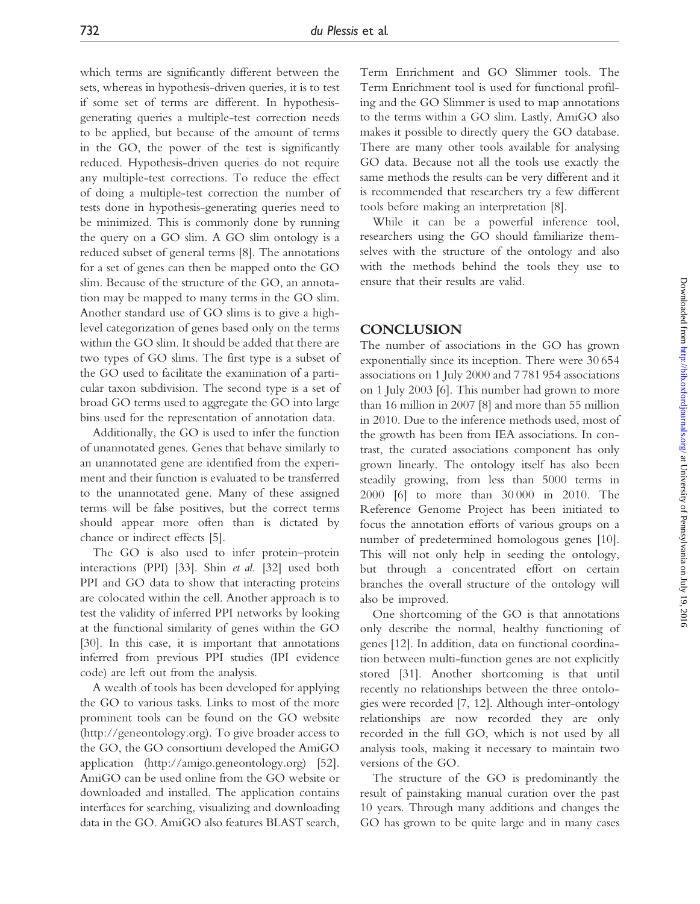which terms are significantly different between the sets, whereas in hypothesis-driven queries, it is to test if some set of terms are different. In hypothesisgenerating queries a multiple-test correction needs to be applied, but because of the amount of terms in the GO, the power of the test is significantly reduced. Hypothesis-driven queries do not require any multiple-test corrections. To reduce the effect of doing a multiple-test correction the number of tests done in hypothesis-generating queries need to be minimized. This is commonly done by running the query on a GO slim. A GO slim ontology is a reduced subset of general terms [8]. The annotations for a set of genes can then be mapped onto the GO slim. Because of the structure of the GO, an annotation may be mapped to many terms in the GO slim. Another standard use of GO slims is to give a highlevel categorization of genes based only on the terms within the GO slim. It should be added that there are two types of GO slims. The first type is a subset of the GO used to facilitate the examination of a particular taxon subdivision. The second type is a set of broad GO terms used to aggregate the GO into large bins used for the representation of annotation data.

Additionally, the GO is used to infer the function of unannotated genes. Genes that behave similarly to an unannotated gene are identified from the experiment and their function is evaluated to be transferred to the unannotated gene. Many of these assigned terms will be false positives, but the correct terms should appear more often than is dictated by chance or indirect effects [5].

The GO is also used to infer protein–protein interactions (PPI) [33]. Shin et al. [32] used both PPI and GO data to show that interacting proteins are colocated within the cell. Another approach is to test the validity of inferred PPI networks by looking at the functional similarity of genes within the GO [30]. In this case, it is important that annotations inferred from previous PPI studies (IPI evidence code) are left out from the analysis.

A wealth of tools has been developed for applying the GO to various tasks. Links to most of the more prominent tools can be found on the GO website (http://geneontology.org). To give broader access to the GO, the GO consortium developed the AmiGO application (http://amigo.geneontology.org) [52]. AmiGO can be used online from the GO website or downloaded and installed. The application contains interfaces for searching, visualizing and downloading data in the GO. AmiGO also features BLAST search,

Term Enrichment and GO Slimmer tools. The Term Enrichment tool is used for functional profiling and the GO Slimmer is used to map annotations to the terms within a GO slim. Lastly, AmiGO also makes it possible to directly query the GO database. There are many other tools available for analysing GO data. Because not all the tools use exactly the same methods the results can be very different and it is recommended that researchers try a few different tools before making an interpretation [8].

While it can be a powerful inference tool, researchers using the GO should familiarize themselves with the structure of the ontology and also with the methods behind the tools they use to ensure that their results are valid.

## **CONCLUSION**

The number of associations in the GO has grown exponentially since its inception. There were 30 654 associations on 1 July 2000 and 7 781 954 associations on 1 July 2003 [6]. This number had grown to more than 16 million in 2007 [8] and more than 55 million in 2010. Due to the inference methods used, most of the growth has been from IEA associations. In contrast, the curated associations component has only grown linearly. The ontology itself has also been steadily growing, from less than 5000 terms in 2000 [6] to more than 30 000 in 2010. The Reference Genome Project has been initiated to focus the annotation efforts of various groups on a number of predetermined homologous genes [10]. This will not only help in seeding the ontology, but through a concentrated effort on certain branches the overall structure of the ontology will also be improved.

One shortcoming of the GO is that annotations only describe the normal, healthy functioning of genes [12]. In addition, data on functional coordination between multi-function genes are not explicitly stored [31]. Another shortcoming is that until recently no relationships between the three ontologies were recorded [7, 12]. Although inter-ontology relationships are now recorded they are only recorded in the full GO, which is not used by all analysis tools, making it necessary to maintain two versions of the GO.

The structure of the GO is predominantly the result of painstaking manual curation over the past 10 years. Through many additions and changes the GO has grown to be quite large and in many cases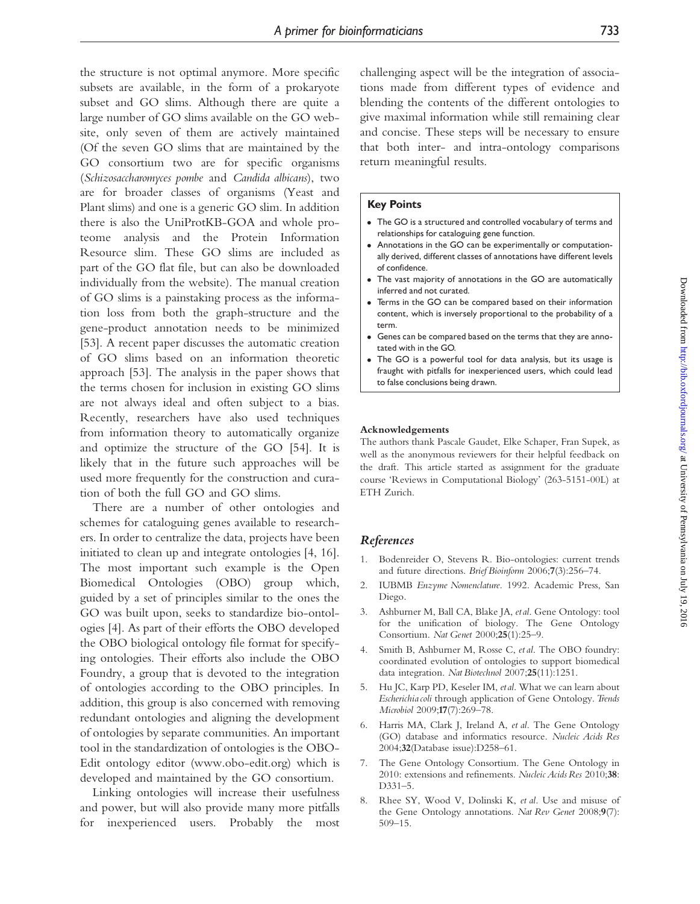the structure is not optimal anymore. More specific subsets are available, in the form of a prokaryote subset and GO slims. Although there are quite a large number of GO slims available on the GO website, only seven of them are actively maintained (Of the seven GO slims that are maintained by the GO consortium two are for specific organisms (Schizosaccharomyces pombe and Candida albicans), two are for broader classes of organisms (Yeast and Plant slims) and one is a generic GO slim. In addition there is also the UniProtKB-GOA and whole proteome analysis and the Protein Information Resource slim. These GO slims are included as part of the GO flat file, but can also be downloaded individually from the website). The manual creation of GO slims is a painstaking process as the information loss from both the graph-structure and the gene-product annotation needs to be minimized [53]. A recent paper discusses the automatic creation of GO slims based on an information theoretic approach [53]. The analysis in the paper shows that the terms chosen for inclusion in existing GO slims are not always ideal and often subject to a bias. Recently, researchers have also used techniques from information theory to automatically organize and optimize the structure of the GO [54]. It is likely that in the future such approaches will be used more frequently for the construction and curation of both the full GO and GO slims.

There are a number of other ontologies and schemes for cataloguing genes available to researchers. In order to centralize the data, projects have been initiated to clean up and integrate ontologies [4, 16]. The most important such example is the Open Biomedical Ontologies (OBO) group which, guided by a set of principles similar to the ones the GO was built upon, seeks to standardize bio-ontologies [4]. As part of their efforts the OBO developed the OBO biological ontology file format for specifying ontologies. Their efforts also include the OBO Foundry, a group that is devoted to the integration of ontologies according to the OBO principles. In addition, this group is also concerned with removing redundant ontologies and aligning the development of ontologies by separate communities. An important tool in the standardization of ontologies is the OBO-Edit ontology editor (www.obo-edit.org) which is developed and maintained by the GO consortium.

Linking ontologies will increase their usefulness and power, but will also provide many more pitfalls for inexperienced users. Probably the most

challenging aspect will be the integration of associations made from different types of evidence and blending the contents of the different ontologies to give maximal information while still remaining clear and concise. These steps will be necessary to ensure that both inter- and intra-ontology comparisons return meaningful results.

#### Key Points

- The GO is a structured and controlled vocabulary of terms and relationships for cataloguing gene function.
- Annotations in the GO can be experimentally or computationally derived, different classes of annotations have different levels of confidence.
- The vast majority of annotations in the GO are automatically inferred and not curated.
- Terms in the GO can be compared based on their information content, which is inversely proportional to the probability of a term.
- Genes can be compared based on the terms that they are annotated with in the GO.
- The GO is a powerful tool for data analysis, but its usage is fraught with pitfalls for inexperienced users, which could lead to false conclusions being drawn.

#### Acknowledgements

The authors thank Pascale Gaudet, Elke Schaper, Fran Supek, as well as the anonymous reviewers for their helpful feedback on the draft. This article started as assignment for the graduate course 'Reviews in Computational Biology' (263-5151-00L) at ETH Zurich.

### References

- 1. Bodenreider O, Stevens R. Bio-ontologies: current trends and future directions. Brief Bioinform 2006;7(3):256–74.
- 2. IUBMB Enzyme Nomenclature. 1992. Academic Press, San Diego.
- 3. Ashburner M, Ball CA, Blake JA, etal. Gene Ontology: tool for the unification of biology. The Gene Ontology Consortium. Nat Genet 2000;25(1):25–9.
- Smith B, Ashburner M, Rosse C, et al. The OBO foundry: coordinated evolution of ontologies to support biomedical data integration. Nat Biotechnol 2007;25(11):1251.
- 5. Hu JC, Karp PD, Keseler IM, etal. What we can learn about Escherichia coli through application of Gene Ontology. Trends Microbiol 2009;17(7):269–78.
- 6. Harris MA, Clark J, Ireland A, et al. The Gene Ontology (GO) database and informatics resource. Nucleic Acids Res 2004;32(Database issue):D258–61.
- 7. The Gene Ontology Consortium. The Gene Ontology in 2010: extensions and refinements. Nucleic Acids Res 2010;38: D331–5.
- 8. Rhee SY, Wood V, Dolinski K, et al. Use and misuse of the Gene Ontology annotations. Nat Rev Genet 2008;9(7): 509–15.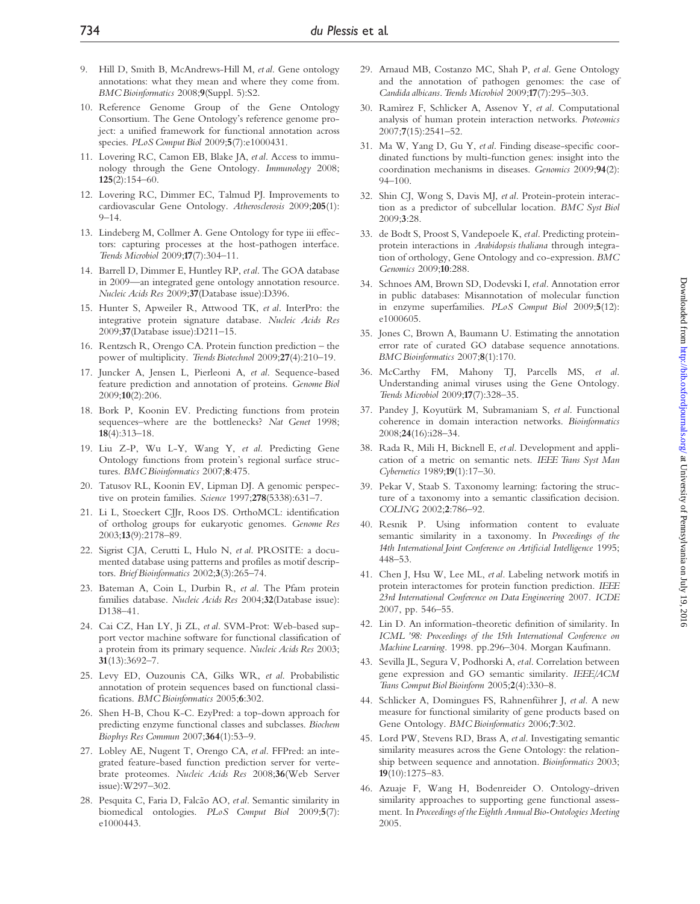- 9. Hill D, Smith B, McAndrews-Hill M, et al. Gene ontology annotations: what they mean and where they come from. BMC Bioinformatics 2008;9(Suppl. 5):S2.
- 10. Reference Genome Group of the Gene Ontology Consortium. The Gene Ontology's reference genome project: a unified framework for functional annotation across species. PLoS Comput Biol 2009;5(7):e1000431.
- 11. Lovering RC, Camon EB, Blake JA, et al. Access to immunology through the Gene Ontology. Immunology 2008; 125(2):154–60.
- 12. Lovering RC, Dimmer EC, Talmud PJ. Improvements to cardiovascular Gene Ontology. Atherosclerosis 2009;205(1):  $9 - 14$
- 13. Lindeberg M, Collmer A. Gene Ontology for type iii effectors: capturing processes at the host-pathogen interface. Trends Microbiol 2009;17(7):304–11.
- 14. Barrell D, Dimmer E, Huntley RP, etal. The GOA database in 2009—an integrated gene ontology annotation resource. Nucleic Acids Res 2009;37(Database issue):D396.
- 15. Hunter S, Apweiler R, Attwood TK, et al. InterPro: the integrative protein signature database. Nucleic Acids Res 2009;37(Database issue):D211–15.
- 16. Rentzsch R, Orengo CA. Protein function prediction the power of multiplicity. Trends Biotechnol 2009;27(4):210–19.
- 17. Juncker A, Jensen L, Pierleoni A, et al. Sequence-based feature prediction and annotation of proteins. Genome Biol 2009;10(2):206.
- 18. Bork P, Koonin EV. Predicting functions from protein sequences–where are the bottlenecks? Nat Genet 1998; 18(4):313–18.
- 19. Liu Z-P, Wu L-Y, Wang Y, et al. Predicting Gene Ontology functions from protein's regional surface structures. BMC Bioinformatics 2007;8:475.
- 20. Tatusov RL, Koonin EV, Lipman DJ. A genomic perspective on protein families. Science 1997;278(5338):631-7.
- 21. Li L, Stoeckert CJJr, Roos DS. OrthoMCL: identification of ortholog groups for eukaryotic genomes. Genome Res 2003;13(9):2178–89.
- 22. Sigrist CJA, Cerutti L, Hulo N, et al. PROSITE: a documented database using patterns and profiles as motif descriptors. Brief Bioinformatics 2002;3(3):265–74.
- 23. Bateman A, Coin L, Durbin R, et al. The Pfam protein families database. Nucleic Acids Res 2004;32(Database issue): D138–41.
- 24. Cai CZ, Han LY, Ji ZL, et al. SVM-Prot: Web-based support vector machine software for functional classification of a protein from its primary sequence. Nucleic Acids Res 2003; 31(13):3692–7.
- 25. Levy ED, Ouzounis CA, Gilks WR, et al. Probabilistic annotation of protein sequences based on functional classifications. BMC Bioinformatics 2005;6:302.
- 26. Shen H-B, Chou K-C. EzyPred: a top-down approach for predicting enzyme functional classes and subclasses. Biochem Biophys Res Commun 2007;364(1):53–9.
- 27. Lobley AE, Nugent T, Orengo CA, et al. FFPred: an integrated feature-based function prediction server for vertebrate proteomes. Nucleic Acids Res 2008;36(Web Server issue):W297–302.
- 28. Pesquita C, Faria D, Falcão AO, et al. Semantic similarity in biomedical ontologies. PLoS Comput Biol 2009;5(7): e1000443.
- 29. Arnaud MB, Costanzo MC, Shah P, et al. Gene Ontology and the annotation of pathogen genomes: the case of Candida albicans.Trends Microbiol 2009;17(7):295–303.
- 30. Ramı`rez F, Schlicker A, Assenov Y, et al. Computational analysis of human protein interaction networks. Proteomics 2007;7(15):2541–52.
- 31. Ma W, Yang D, Gu Y, et al. Finding disease-specific coordinated functions by multi-function genes: insight into the coordination mechanisms in diseases. Genomics 2009;94(2): 94–100.
- 32. Shin CJ, Wong S, Davis MJ, et al. Protein-protein interaction as a predictor of subcellular location. BMC Syst Biol 2009;3:28.
- 33. de Bodt S, Proost S, Vandepoele K, etal. Predicting proteinprotein interactions in Arabidopsis thaliana through integration of orthology, Gene Ontology and co-expression. BMC Genomics 2009;10:288.
- 34. Schnoes AM, Brown SD, Dodevski I, etal. Annotation error in public databases: Misannotation of molecular function in enzyme superfamilies. PLoS Comput Biol 2009;5(12): e1000605.
- 35. Jones C, Brown A, Baumann U. Estimating the annotation error rate of curated GO database sequence annotations. BMC Bioinformatics 2007;8(1):170.
- 36. McCarthy FM, Mahony TJ, Parcells MS, et al. Understanding animal viruses using the Gene Ontology. Trends Microbiol 2009;17(7):328–35.
- 37. Pandey J, Koyutürk M, Subramaniam S, et al. Functional coherence in domain interaction networks. Bioinformatics 2008;24(16):i28–34.
- 38. Rada R, Mili H, Bicknell E, et al. Development and application of a metric on semantic nets. IEEE Trans Syst Man Cybernetics 1989;19(1):17–30.
- 39. Pekar V, Staab S. Taxonomy learning: factoring the structure of a taxonomy into a semantic classification decision. COLING 2002;2:786–92.
- 40. Resnik P. Using information content to evaluate semantic similarity in a taxonomy. In Proceedings of the 14th International Joint Conference on Artificial Intelligence 1995; 448–53.
- 41. Chen J, Hsu W, Lee ML, et al. Labeling network motifs in protein interactomes for protein function prediction. IEEE 23rd International Conference on Data Engineering 2007. ICDE 2007, pp. 546–55.
- 42. Lin D. An information-theoretic definition of similarity. In ICML '98: Proceedings of the 15th International Conference on Machine Learning. 1998. pp.296–304. Morgan Kaufmann.
- 43. Sevilla JL, Segura V, Podhorski A, etal. Correlation between gene expression and GO semantic similarity. IEEE/ACM Trans Comput Biol Bioinform 2005;2(4):330–8.
- 44. Schlicker A, Domingues FS, Rahnenführer J, et al. A new measure for functional similarity of gene products based on Gene Ontology. BMC Bioinformatics 2006;7:302.
- 45. Lord PW, Stevens RD, Brass A, et al. Investigating semantic similarity measures across the Gene Ontology: the relationship between sequence and annotation. Bioinformatics 2003; 19(10):1275–83.
- 46. Azuaje F, Wang H, Bodenreider O. Ontology-driven similarity approaches to supporting gene functional assessment. In Proceedings of the Eighth Annual Bio-Ontologies Meeting 2005.